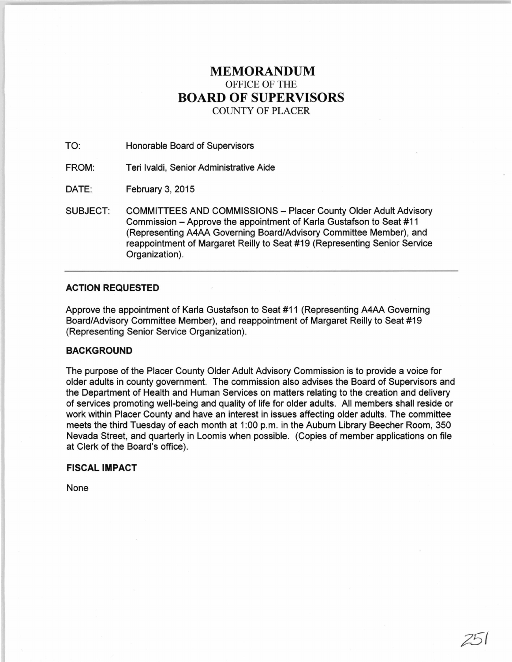# **MEMORANDUM**  OFFICE OF THE **BOARD OF SUPERVISORS**  COUNTY OF PLACER

TO: Honorable Board of Supervisors

FROM: Teri lvaldi, Senior Administrative Aide

DATE: February 3, 2015

SUBJECT: COMMITTEES AND COMMISSIONS - Placer County Older Adult Advisory Commission -Approve the appointment of Karla Gustafson to Seat #11 (Representing A4AA Governing Board/Advisory Committee Member), and reappointment of Margaret Reilly to Seat #19 (Representing Senior Service Organization).

## **ACTION REQUESTED**

Approve the appointment of Karla Gustafson to Seat #11 (Representing A4AA Governing Board/Advisory Committee Member), and reappointment of Margaret Reilly to Seat #19 (Representing Senior Service Organization).

## **BACKGROUND**

The purpose of the Placer County Older Adult Advisory Commission is to provide a voice for older adults in county government. The commission also advises the Board of Supervisors and the Department of Health and Human Services on matters relating to the creation and delivery of services promoting well-being and quality of life for older adults. All members shall reside or work within Placer County and have an interest in issues affecting older adults. The committee meets the third Tuesday of each month at 1:00 p.m. in the Auburn Library Beecher Room, 350 Nevada Street, and quarterly in Loomis when possible. (Copies of member applications on file at Clerk of the Board's office).

**FISCAL IMPACT** 

None

25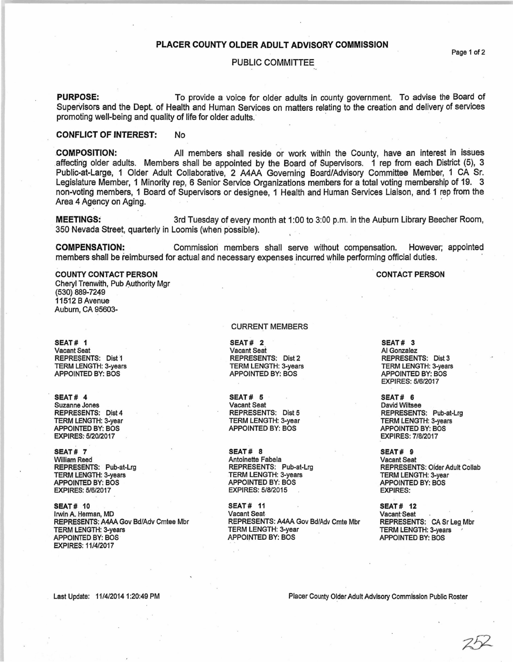## PLACER COUNTY OLDER ADULT ADVISORY COMMISSION

### PUBLIC COMMITTEE

PURPOSE: To provide a voice for older adults in county government. To advise the Board of Supervisors and the Dept. of Health and Human Services on matters relating to the creation and delivery of services promoting well-being and quality of life for older adults.

## CONFLICT OF INTEREST: No

COMPOSITION: All members shall reside or work within the County, have an interest in issues affecting older adults. Members shall be appointed by the Board of Supervisors. 1 rep from each District (5), 3 Public-at-Large, 1 Older Adult Collaborative, 2 A4AA Governing Board/Advisory Committee Member, 1 CA Sr. Legislature Member, 1 Minority rep, 6 Senior Service Organizations members for a total voting membership of 19. 3 non-voting members, 1 Board of Supervisors or designee, 1 Health and Human Services Liaison, and. 1 rep from the Area 4 Agency on Aging.

MEETINGS: 3rd Tuesday of every month at 1:00 to 3:00 p.m. in the Auburn Library Beecher Room, 350 Nevada Street, quarterly in Loomis (when possible).

COMPENSATION: Commission members shall serve without compensation. However; appointed members shall be reimbursed for actual and necessary expenses incurred while performing official duties.

#### COUNTY CONTACT PERSON

Cheryl Trenwith, Pub Authority Mgr (530) 889-7249 11512 8 Avenue Auburn, CA 95603-

SEAT# 1 Vacant Seat REPRESENTS: Dist 1 TERM LENGTH: 3-years APPOINTED BY: BOS

SEAT# 4 Suzanne Jones REPRESENTS: Dist 4 TERM LENGTH: 3~year APPOINTED BY: BOS EXPIRES: 5/20/2017

SEAT# 7 William Reed REPRESENTS: Pub-at-Lrg TERM LENGTH: 3-years APPOINTED BY: BOS EXPIRES: S/6/2017

SEAT# 10 IrWin A. Herman, MD REPRESENTS: A4AA Gov Bd/Adv Cmtee Mbr TERM LENGTH: 3-years APPOINTED BY: BOS EXPIRES: 11/4/2017

#### CURRENT MEMBERS

SEAT# 2 Vacant Seat REPRESENTS: Dist'2 TERM LENGTH: 3-years APPOINTED BY: BOS

SEAT# 5 Vacant Seat REPRESENTS: Dist 5 TERM LENGTH: 3-year APPOINTED BY: BOS

SEAT# 8 Antoinette Fabela REPRESENTS: Pub-at-Lrg TERM LENGTH: 3-years APPOINTED BY: BOS EXPIRES: 5/8/2015

SEAT# 11 Vacant Seat REPRESENTS: A4AA Gov Bd/Adv Cmte Mbr TERM LENGTH: 3-year APPOINTED BY: BOS

SEAT# 3 AI Gonzalez REPRESENTS: Dist 3 TERM LENGTH: 3-years APPOINTED BY: BOS EXPIRES: 5/6/2017

CONTACT PERSON

SEAT# 6 David Wiltsee REPRESENTS: Pub-at-Lrg TERM LENGTH: 3-years APPOINTED BY: BOS EXPIRES: 7/8/2017

SEAT# 9 Vacant Seat REPRESENTS: Older Adult Collab TERM LENGTH: 3-year APPOINTED BY: BOS EXPIRES:

SEAT# 12 Vacant·Seat REPRESENTS: CA Sr Leg Mbr TERM LENGTH: 3-years APPOINTED BY: BOS

Last Update: 11/4/2014 1:20:49 PM

Placer County Older Adult Advisory Commission Public Roster

Page 1 of 2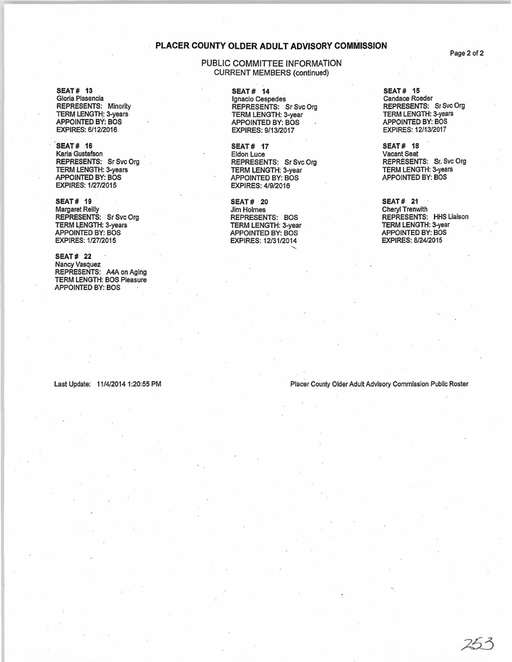## PLACER COUNTY OLDER ADULT ADVISORY COMMISSION

## PUBLIC COMMITTEE INFORMATION CURRENT MEMBERS (continued)

SEAT# 13 Gloria Plasencia REPRESENTS: Minority TERM LENGTH: 3-years APPOINTED BY: 80S EXPIRES: 6/12/2016

SEAT# 16 Karla Gustafson REPRESENTS: Sr Svc Org TERM LENGTH: 3-years APPOINTED BY: 80S EXPIRES: 1/27/2015

SEAT# 19 Margaret Reilly REPRESENTS: Sr Svc Org TERM LENGTH: 3-years APPOINTED BY: 80S EXPIRES: 1/27/2015

SEAT# 22 Nancy Vasquez REPRESENTS: A4A on Aging TERM LENGTH: 80S Pleasure APPOINTED BY: 80S

#### SEAT# 14 Ignacio Cespedes REPRESENTS: Sr Svc Org TERM LENGTH: 3-year APPOINTED BY: 80S EXPIRES: 9/13/2017

SEAT# 17 Eldon Luce REPRESENTS: Sr Svc Org TERM LENGTH: 3-year APPOINTED BY: 80S EXPIRES: 4/9/2016

SEAT# ·20 Jim Holmes REPRESENTS: 80S TERM LENGTH: 3-year APPOINTED BY: 80S EXPIRES: 12/31/2014

SEAT# 15 Candace Roeder REPRESENTS: Sr Svc Org TERM LENGTH: 3-years APPOINTED BY: 80S EXPIRES: 12/13/2017

SEAT# 18 Vacant. Seat REPRESENTS: Sr. Svc Org TERM LENGTH: 3-years APPOINTED BY: 80S

SEAT# 21 Cheryl Trenwith REPRESENTS: HHS Liaison TERM LENGTH: 3-year APPOINTED BY: 80S EXPIRES: 8/24/2015

Last Update: 11/4/20141:20:55 PM Placer County Older Adult AdVisory Commission Public Roster

Page 2 of 2